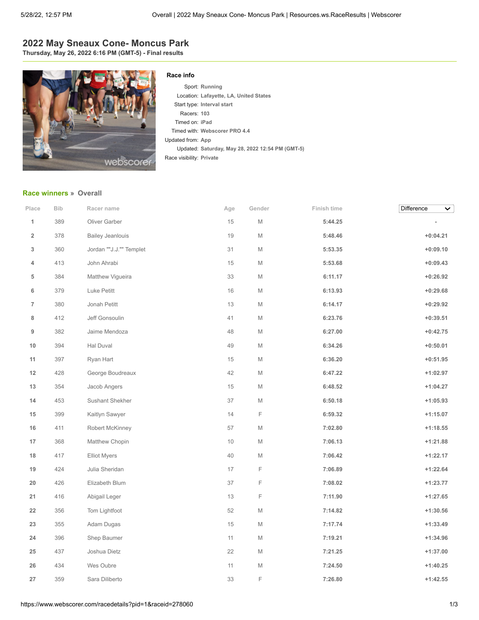# **2022 May Sneaux Cone- Moncus Park**

**Thursday, May 26, 2022 6:16 PM (GMT-5) - Final results**



#### **Race info**

Sport: **Running** Location: **Lafayette, LA, United States** Start type: **Interval start** Racers: **103** Timed on: **iPad** Timed with: **Webscorer PRO 4.4** Updated from: **App** Updated: **Saturday, May 28, 2022 12:54 PM (GMT-5)** Race visibility: **Private**

### **[Race winners](https://www.webscorer.com/race?pid=1&raceid=278060) » Overall**

| Place                   | Bib | Racer name              | Age    | Gender | Finish time | Difference<br>$\checkmark$ |
|-------------------------|-----|-------------------------|--------|--------|-------------|----------------------------|
| 1                       | 389 | Oliver Garber           | 15     | M      | 5:44.25     | $\overline{a}$             |
| $\overline{\mathbf{2}}$ | 378 | <b>Bailey Jeanlouis</b> | 19     | M      | 5:48.46     | $+0:04.21$                 |
| 3                       | 360 | Jordan ""J.J."" Templet | 31     | M      | 5:53.35     | $+0:09.10$                 |
| 4                       | 413 | John Ahrabi             | 15     | M      | 5:53.68     | $+0:09.43$                 |
| 5                       | 384 | Matthew Vigueira        | 33     | M      | 6:11.17     | $+0:26.92$                 |
| 6                       | 379 | Luke Petitt             | 16     | M      | 6:13.93     | $+0:29.68$                 |
| $\overline{7}$          | 380 | Jonah Petitt            | $13$   | M      | 6:14.17     | $+0:29.92$                 |
| 8                       | 412 | Jeff Gonsoulin          | 41     | M      | 6:23.76     | $+0:39.51$                 |
| 9                       | 382 | Jaime Mendoza           | 48     | M      | 6:27.00     | $+0:42.75$                 |
| 10                      | 394 | Hal Duval               | 49     | M      | 6:34.26     | $+0:50.01$                 |
| 11                      | 397 | Ryan Hart               | 15     | M      | 6:36.20     | $+0:51.95$                 |
| 12                      | 428 | George Boudreaux        | 42     | M      | 6:47.22     | $+1:02.97$                 |
| 13                      | 354 | Jacob Angers            | $15\,$ | M      | 6:48.52     | $+1:04.27$                 |
| 14                      | 453 | Sushant Shekher         | $37\,$ | M      | 6:50.18     | $+1:05.93$                 |
| 15                      | 399 | Kaitlyn Sawyer          | 14     | F      | 6:59.32     | $+1:15.07$                 |
| 16                      | 411 | Robert McKinney         | 57     | M      | 7:02.80     | $+1:18.55$                 |
| 17                      | 368 | Matthew Chopin          | $10\,$ | M      | 7:06.13     | $+1:21.88$                 |
| 18                      | 417 | <b>Elliot Myers</b>     | 40     | M      | 7:06.42     | $+1:22.17$                 |
| 19                      | 424 | Julia Sheridan          | 17     | F      | 7:06.89     | $+1:22.64$                 |
| 20                      | 426 | Elizabeth Blum          | $37\,$ | F      | 7:08.02     | $+1:23.77$                 |
| 21                      | 416 | Abigail Leger           | 13     | F      | 7:11.90     | $+1:27.65$                 |
| 22                      | 356 | Tom Lightfoot           | 52     | M      | 7:14.82     | $+1:30.56$                 |
| 23                      | 355 | Adam Dugas              | $15\,$ | M      | 7:17.74     | $+1:33.49$                 |
| 24                      | 396 | Shep Baumer             | 11     | M      | 7:19.21     | $+1:34.96$                 |
| 25                      | 437 | Joshua Dietz            | 22     | M      | 7:21.25     | $+1:37.00$                 |
| 26                      | 434 | Wes Oubre               | 11     | M      | 7:24.50     | $+1:40.25$                 |
| 27                      | 359 | Sara Diliberto          | 33     | F      | 7:26.80     | $+1:42.55$                 |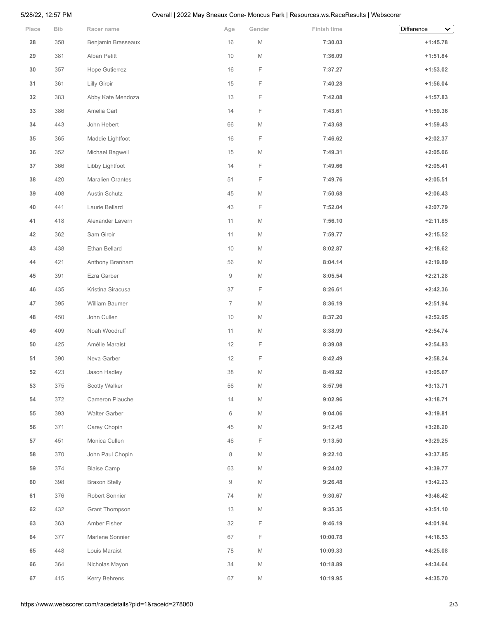## 5/28/22, 12:57 PM Overall | 2022 May Sneaux Cone- Moncus Park | Resources.ws.RaceResults | Webscorer

| Place  | <b>Bib</b> | Racer name              | Age            | Gender      | Finish time | Difference<br>$\checkmark$ |
|--------|------------|-------------------------|----------------|-------------|-------------|----------------------------|
| 28     | 358        | Benjamin Brasseaux      | 16             | M           | 7:30.03     | $+1:45.78$                 |
| 29     | 381        | Alban Petitt            | $10$           | M           | 7:36.09     | $+1:51.84$                 |
| 30     | 357        | Hope Gutierrez          | 16             | F           | 7:37.27     | $+1:53.02$                 |
| 31     | 361        | Lilly Giroir            | 15             | F           | 7:40.28     | $+1:56.04$                 |
| 32     | 383        | Abby Kate Mendoza       | 13             | F           | 7:42.08     | $+1:57.83$                 |
| 33     | 386        | Amelia Cart             | 14             | F           | 7:43.61     | $+1:59.36$                 |
| 34     | 443        | John Hebert             | 66             | M           | 7:43.68     | $+1:59.43$                 |
| 35     | 365        | Maddie Lightfoot        | 16             | F           | 7:46.62     | $+2:02.37$                 |
| 36     | 352        | Michael Bagwell         | 15             | $\mathbb M$ | 7:49.31     | $+2:05.06$                 |
| $37\,$ | 366        | Libby Lightfoot         | 14             | F           | 7:49.66     | $+2:05.41$                 |
| 38     | 420        | <b>Maralien Orantes</b> | 51             | F           | 7:49.76     | $+2:05.51$                 |
| 39     | 408        | Austin Schutz           | 45             | $\mathbb M$ | 7:50.68     | $+2:06.43$                 |
| 40     | 441        | Laurie Bellard          | 43             | F           | 7:52.04     | $+2:07.79$                 |
| 41     | 418        | Alexander Lavern        | 11             | M           | 7:56.10     | $+2:11.85$                 |
| 42     | 362        | Sam Giroir              | 11             | М           | 7:59.77     | $+2:15.52$                 |
| 43     | 438        | Ethan Bellard           | $10$           | M           | 8:02.87     | $+2:18.62$                 |
| 44     | 421        | Anthony Branham         | 56             | M           | 8:04.14     | $+2:19.89$                 |
| 45     | 391        | Ezra Garber             | 9              | М           | 8:05.54     | $+2:21.28$                 |
| 46     | 435        | Kristina Siracusa       | 37             | F           | 8:26.61     | $+2:42.36$                 |
| 47     | 395        | William Baumer          | $\overline{7}$ | M           | 8:36.19     | $+2:51.94$                 |
| 48     | 450        | John Cullen             | $10$           | M           | 8:37.20     | $+2:52.95$                 |
| 49     | 409        | Noah Woodruff           | 11             | М           | 8:38.99     | $+2:54.74$                 |
| 50     | 425        | Amélie Maraist          | 12             | F           | 8:39.08     | $+2:54.83$                 |
| 51     | 390        | Neva Garber             | 12             | F           | 8:42.49     | $+2:58.24$                 |
| 52     | 423        | Jason Hadley            | 38             | M           | 8:49.92     | $+3:05.67$                 |
| 53     | 375        | Scotty Walker           | 56             | M           | 8:57.96     | $+3:13.71$                 |
| 54     | 372        | Cameron Plauche         | 14             | M           | 9:02.96     | $+3:18.71$                 |
| 55     | 393        | <b>Walter Garber</b>    | 6              | M           | 9:04.06     | $+3:19.81$                 |
| 56     | 371        | Carey Chopin            | 45             | M           | 9:12.45     | $+3:28.20$                 |
| 57     | 451        | Monica Cullen           | 46             | F           | 9:13.50     | $+3:29.25$                 |
| 58     | 370        | John Paul Chopin        | 8              | M           | 9:22.10     | $+3:37.85$                 |
| 59     | 374        | <b>Blaise Camp</b>      | 63             | M           | 9:24.02     | $+3:39.77$                 |
| 60     | 398        | <b>Braxon Stelly</b>    | 9              | M           | 9:26.48     | $+3:42.23$                 |
| 61     | 376        | Robert Sonnier          | 74             | M           | 9:30.67     | $+3:46.42$                 |
| 62     | 432        | Grant Thompson          | 13             | M           | 9:35.35     | $+3:51.10$                 |
| 63     | 363        | Amber Fisher            | 32             | F           | 9:46.19     | $+4:01.94$                 |
| 64     | 377        | Marlene Sonnier         | 67             | F           | 10:00.78    | $+4:16.53$                 |
| 65     | 448        | Louis Maraist           | 78             | M           | 10:09.33    | $+4:25.08$                 |
| 66     | 364        | Nicholas Mayon          | 34             | $\mathbb M$ | 10:18.89    | $+4:34.64$                 |
| 67     | 415        | Kerry Behrens           | 67             | M           | 10:19.95    | $+4:35.70$                 |